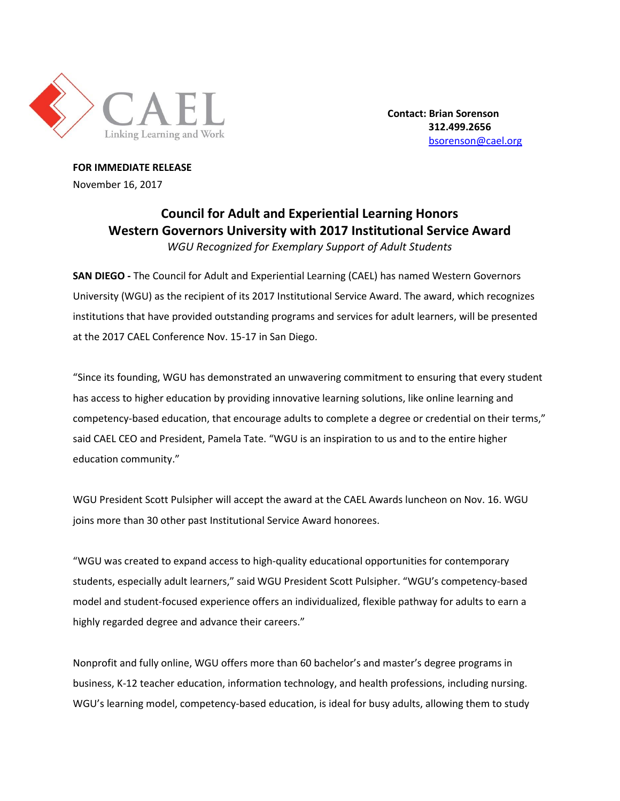

**Contact: Brian Sorenson 312.499.2656** [bsorenson@cael.org](mailto:bsorenson@cael.org)

**FOR IMMEDIATE RELEASE** November 16, 2017

## **Council for Adult and Experiential Learning Honors Western Governors University with 2017 Institutional Service Award** *WGU Recognized for Exemplary Support of Adult Students*

**SAN DIEGO -** The Council for Adult and Experiential Learning (CAEL) has named Western Governors University (WGU) as the recipient of its 2017 Institutional Service Award. The award, which recognizes institutions that have provided outstanding programs and services for adult learners, will be presented at the 2017 CAEL Conference Nov. 15-17 in San Diego.

"Since its founding, WGU has demonstrated an unwavering commitment to ensuring that every student has access to higher education by providing innovative learning solutions, like online learning and competency-based education, that encourage adults to complete a degree or credential on their terms," said CAEL CEO and President, Pamela Tate. "WGU is an inspiration to us and to the entire higher education community."

WGU President Scott Pulsipher will accept the award at the CAEL Awards luncheon on Nov. 16. WGU joins more than 30 other past Institutional Service Award honorees.

"WGU was created to expand access to high-quality educational opportunities for contemporary students, especially adult learners," said WGU President Scott Pulsipher. "WGU's competency-based model and student-focused experience offers an individualized, flexible pathway for adults to earn a highly regarded degree and advance their careers."

Nonprofit and fully online, WGU offers more than 60 bachelor's and master's degree programs in business, K-12 teacher education, information technology, and health professions, including nursing. WGU's learning model, competency-based education, is ideal for busy adults, allowing them to study